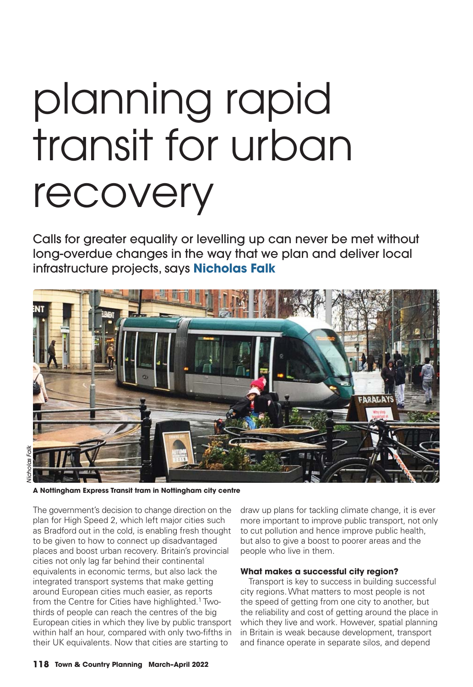# planning rapid transit for urban recovery

Calls for greater equality or levelling up can never be met without long-overdue changes in the way that we plan and deliver local infrastructure projects, says **Nicholas Falk**



**A Nottingham Express Transit tram in Nottingham city centre**

The government's decision to change direction on the plan for High Speed 2, which left major cities such as Bradford out in the cold, is enabling fresh thought to be given to how to connect up disadvantaged places and boost urban recovery. Britain's provincial cities not only lag far behind their continental equivalents in economic terms, but also lack the integrated transport systems that make getting around European cities much easier, as reports from the Centre for Cities have highlighted.<sup>1</sup> Twothirds of people can reach the centres of the big European cities in which they live by public transport within half an hour, compared with only two-fifths in their UK equivalents. Now that cities are starting to

draw up plans for tackling climate change, it is ever more important to improve public transport, not only to cut pollution and hence improve public health, but also to give a boost to poorer areas and the people who live in them.

## **What makes a successful city region?**

Transport is key to success in building successful city regions. What matters to most people is not the speed of getting from one city to another, but the reliability and cost of getting around the place in which they live and work. However, spatial planning in Britain is weak because development, transport and finance operate in separate silos, and depend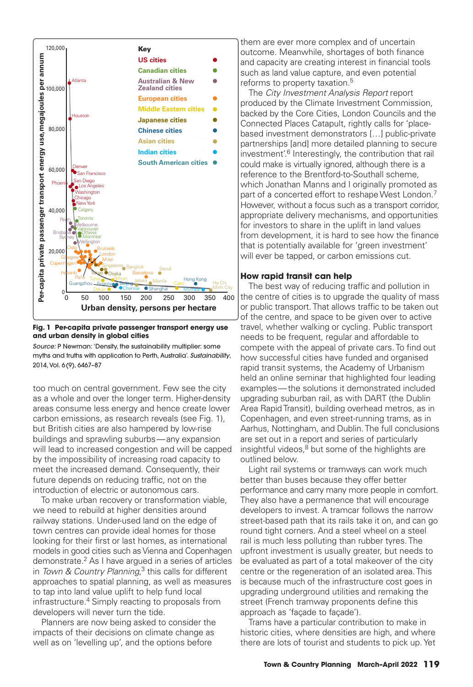

**Fig. 1 Per-capita private passenger transport energy use and urban density in global cities**

*Source:* P Newman: 'Density, the sustainability multiplier: some myths and truths with application to Perth, Australia'. *Sustainability*, 2014, Vol. 6 (9), 6467–87

too much on central government. Few see the city as a whole and over the longer term. Higher-density areas consume less energy and hence create lower carbon emissions, as research reveals (see Fig. 1), but British cities are also hampered by low-rise buildings and sprawling suburbs — any expansion will lead to increased congestion and will be capped by the impossibility of increasing road capacity to meet the increased demand. Consequently, their future depends on reducing traffic, not on the introduction of electric or autonomous cars.

 To make urban recovery or transformation viable, we need to rebuild at higher densities around railway stations. Under-used land on the edge of town centres can provide ideal homes for those looking for their first or last homes, as international models in good cities such as Vienna and Copenhagen demonstrate.2 As I have argued in a series of articles in Town & Country Planning,<sup>3</sup> this calls for different approaches to spatial planning, as well as measures to tap into land value uplift to help fund local infrastructure.4 Simply reacting to proposals from developers will never turn the tide.

 Planners are now being asked to consider the impacts of their decisions on climate change as well as on 'levelling up', and the options before

them are ever more complex and of uncertain outcome. Meanwhile, shortages of both finance and capacity are creating interest in financial tools such as land value capture, and even potential reforms to property taxation.<sup>5</sup>

 The *City Investment Analysis Report* report produced by the Climate Investment Commission, backed by the Core Cities, London Councils and the Connected Places Catapult, rightly calls for 'placebased investment demonstrators […] public-private partnerships [and] more detailed planning to secure investment'.<sup>6</sup> Interestingly, the contribution that rail could make is virtually ignored, although there is a reference to the Brentford-to-Southall scheme, which Jonathan Manns and I originally promoted as part of a concerted effort to reshape West London.<sup>7</sup> However, without a focus such as a transport corridor, appropriate delivery mechanisms, and opportunities for investors to share in the uplift in land values from development, it is hard to see how the finance that is potentially available for 'green investment' will ever be tapped, or carbon emissions cut.

# **How rapid transit can help**

The best way of reducing traffic and pollution in the centre of cities is to upgrade the quality of mass or public transport. That allows traffic to be taken out of the centre, and space to be given over to active travel, whether walking or cycling. Public transport needs to be frequent, regular and affordable to compete with the appeal of private cars. To find out how successful cities have funded and organised rapid transit systems, the Academy of Urbanism held an online seminar that highlighted four leading examples — the solutions it demonstrated included upgrading suburban rail, as with DART (the Dublin Area Rapid Transit), building overhead metros, as in Copenhagen, and even street-running trams, as in Aarhus, Nottingham, and Dublin. The full conclusions are set out in a report and series of particularly insightful videos, $8$  but some of the highlights are outlined below.

 Light rail systems or tramways can work much better than buses because they offer better performance and carry many more people in comfort. They also have a permanence that will encourage developers to invest. A tramcar follows the narrow street-based path that its rails take it on, and can go round tight corners. And a steel wheel on a steel rail is much less polluting than rubber tyres. The upfront investment is usually greater, but needs to be evaluated as part of a total makeover of the city centre or the regeneration of an isolated area. This is because much of the infrastructure cost goes in upgrading underground utilities and remaking the street (French tramway proponents define this approach as 'façade to façade').

 Trams have a particular contribution to make in historic cities, where densities are high, and where there are lots of tourist and students to pick up. Yet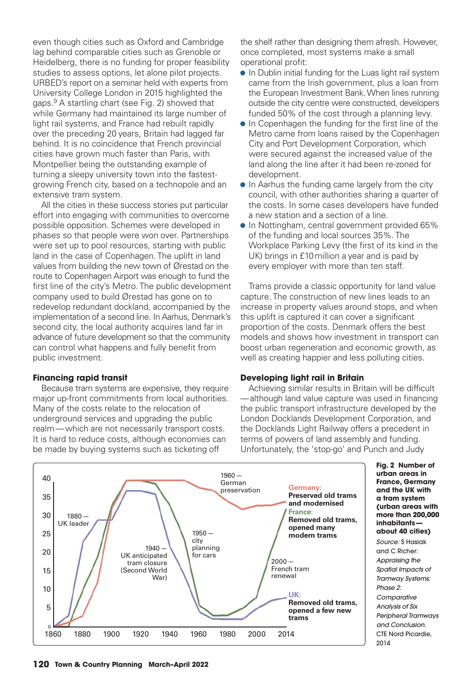even though cities such as Oxford and Cambridge lag behind comparable cities such as Grenoble or Heidelberg, there is no funding for proper feasibility studies to assess options, let alone pilot projects. URBED's report on a seminar held with experts from University College London in 2015 highlighted the gaps.9 A startling chart (see Fig. 2) showed that while Germany had maintained its large number of light rail systems, and France had rebuilt rapidly over the preceding 20 years, Britain had lagged far behind. It is no coincidence that French provincial cities have grown much faster than Paris, with Montpellier being the outstanding example of turning a sleepy university town into the fastestgrowing French city, based on a technopole and an extensive tram system.

 All the cities in these success stories put particular effort into engaging with communities to overcome possible opposition. Schemes were developed in phases so that people were won over. Partnerships were set up to pool resources, starting with public land in the case of Copenhagen. The uplift in land values from building the new town of Ørestad on the route to Copenhagen Airport was enough to fund the first line of the city's Metro. The public development company used to build Ørestad has gone on to redevelop redundant dockland, accompanied by the implementation of a second line. In Aarhus, Denmark's second city, the local authority acquires land far in advance of future development so that the community can control what happens and fully benefit from public investment.

## **Financing rapid transit**

 Because tram systems are expensive, they require major up-front commitments from local authorities. Many of the costs relate to the relocation of underground services and upgrading the public realm — which are not necessarily transport costs. It is hard to reduce costs, although economies can be made by buying systems such as ticketing off

the shelf rather than designing them afresh. However, once completed, most systems make a small operational profit:

- In Dublin initial funding for the Luas light rail system came from the Irish government, plus a loan from the European Investment Bank. When lines running outside the city centre were constructed, developers funded 50% of the cost through a planning levy.
- $\bullet$  In Copenhagen the funding for the first line of the Metro came from loans raised by the Copenhagen City and Port Development Corporation, which were secured against the increased value of the land along the line after it had been re-zoned for development.
- In Aarhus the funding came largely from the city council, with other authorities sharing a quarter of the costs. In some cases developers have funded a new station and a section of a line.
- In Nottingham, central government provided 65% of the funding and local sources 35%. The Workplace Parking Levy (the first of its kind in the UK) brings in £10 million a year and is paid by every employer with more than ten staff.

 Trams provide a classic opportunity for land value capture. The construction of new lines leads to an increase in property values around stops, and when this uplift is captured it can cover a significant proportion of the costs. Denmark offers the best models and shows how investment in transport can boost urban regeneration and economic growth, as well as creating happier and less polluting cities.

## **Developing light rail in Britain**

Achieving similar results in Britain will be difficult — although land value capture was used in financing the public transport infrastructure developed by the London Docklands Development Corporation, and the Docklands Light Railway offers a precedent in terms of powers of land assembly and funding. Unfortunately, the 'stop-go' and Punch and Judy



**Fig. 2 Number of urban areas in France, Germany and the UK with a tram system (urban areas with more than 200,000 inhabitants about 40 cities)**

*Source:* S Hasiak and C Richer: *Appraising the Spatial Impacts of Tramway Systems: Phase 2: Comparative Analysis of Six Peripheral Tramways and Conclusion*. CTE Nord Picardie, 2014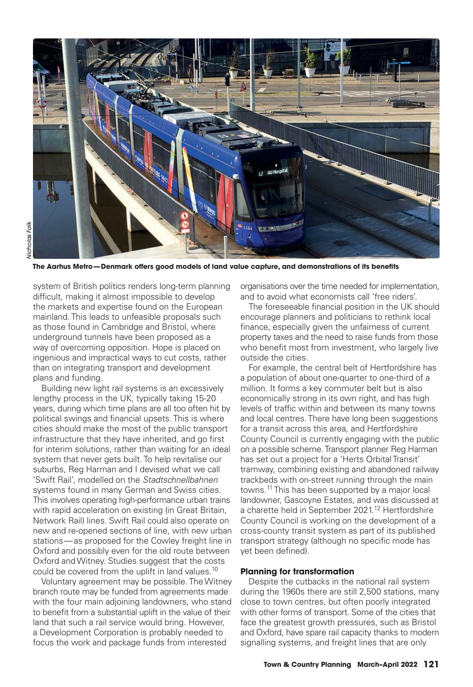

The Aarhus Metro-Denmark offers good models of land value capture, and demonstrations of its benefits

system of British politics renders long-term planning difficult, making it almost impossible to develop the markets and expertise found on the European mainland. This leads to unfeasible proposals such as those found in Cambridge and Bristol, where underground tunnels have been proposed as a way of overcoming opposition. Hope is placed on ingenious and impractical ways to cut costs, rather than on integrating transport and development plans and funding.

 Building new light rail systems is an excessively lengthy process in the UK, typically taking 15-20 years, during which time plans are all too often hit by political swings and financial upsets. This is where cities should make the most of the public transport infrastructure that they have inherited, and go first for interim solutions, rather than waiting for an ideal system that never gets built. To help revitalise our suburbs, Reg Harman and I devised what we call 'Swift Rail', modelled on the *Stadtschnellbahnen* systems found in many German and Swiss cities. This involves operating high-performance urban trains with rapid acceleration on existing (in Great Britain, Network Rail) lines. Swift Rail could also operate on new and re-opened sections of line, with new urban stations — as proposed for the Cowley freight line in Oxford and possibly even for the old route between Oxford and Witney. Studies suggest that the costs could be covered from the uplift in land values.<sup>10</sup>

 Voluntary agreement may be possible. The Witney branch route may be funded from agreements made with the four main adjoining landowners, who stand to benefit from a substantial uplift in the value of their land that such a rail service would bring. However, a Development Corporation is probably needed to focus the work and package funds from interested

organisations over the time needed for implementation, and to avoid what economists call 'free riders'.

The foreseeable financial position in the UK should encourage planners and politicians to rethink local finance, especially given the unfairness of current property taxes and the need to raise funds from those who benefit most from investment, who largely live outside the cities.

 For example, the central belt of Hertfordshire has a population of about one-quarter to one-third of a million. It forms a key commuter belt but is also economically strong in its own right, and has high levels of traffic within and between its many towns and local centres. There have long been suggestions for a transit across this area, and Hertfordshire County Council is currently engaging with the public on a possible scheme. Transport planner Reg Harman has set out a project for a 'Herts Orbital Transit' tramway, combining existing and abandoned railway trackbeds with on-street running through the main towns.11 This has been supported by a major local landowner, Gascoyne Estates, and was discussed at a charette held in September 2021.12 Hertfordshire County Council is working on the development of a cross-county transit system as part of its published transport strategy (although no specific mode has yet been defined).

## **Planning for transformation**

Despite the cutbacks in the national rail system during the 1960s there are still 2,500 stations, many close to town centres, but often poorly integrated with other forms of transport. Some of the cities that face the greatest growth pressures, such as Bristol and Oxford, have spare rail capacity thanks to modern signalling systems, and freight lines that are only